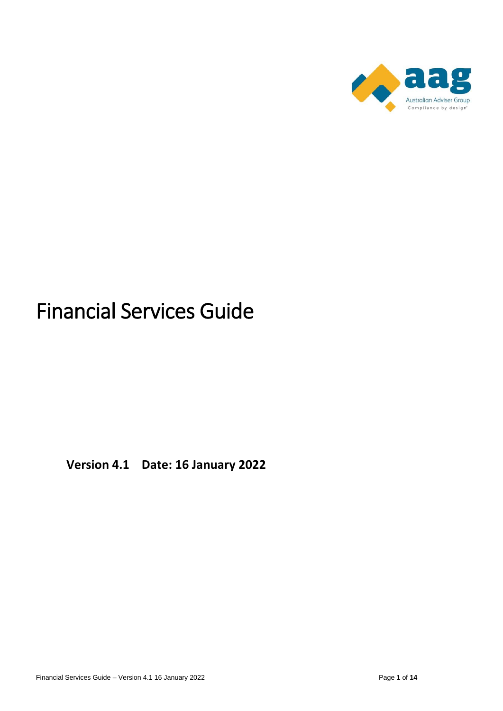

# Financial Services Guide

**Version 4.1 Date: 16 January 2022**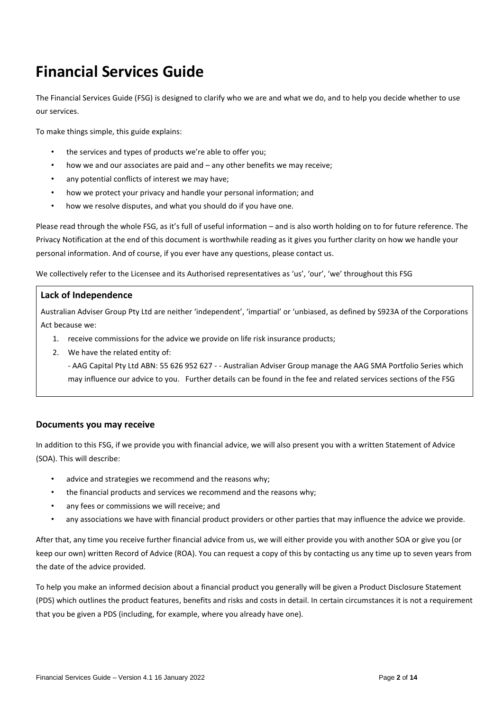# **Financial Services Guide**

The Financial Services Guide (FSG) is designed to clarify who we are and what we do, and to help you decide whether to use our services.

To make things simple, this guide explains:

- the services and types of products we're able to offer you;
- how we and our associates are paid and  $-$  any other benefits we may receive;
- any potential conflicts of interest we may have;
- how we protect your privacy and handle your personal information; and
- how we resolve disputes, and what you should do if you have one.

Please read through the whole FSG, as it's full of useful information – and is also worth holding on to for future reference. The Privacy Notification at the end of this document is worthwhile reading as it gives you further clarity on how we handle your personal information. And of course, if you ever have any questions, please contact us.

We collectively refer to the Licensee and its Authorised representatives as 'us', 'our', 'we' throughout this FSG

#### **Lack of Independence**

Australian Adviser Group Pty Ltd are neither 'independent', 'impartial' or 'unbiased, as defined by S923A of the Corporations Act because we:

- 1. receive commissions for the advice we provide on life risk insurance products;
- 2. We have the related entity of:

- AAG Capital Pty Ltd ABN: 55 626 952 627 - - Australian Adviser Group manage the AAG SMA Portfolio Series which may influence our advice to you. Further details can be found in the fee and related services sections of the FSG

### **Documents you may receive**

In addition to this FSG, if we provide you with financial advice, we will also present you with a written Statement of Advice (SOA). This will describe:

- advice and strategies we recommend and the reasons why;
- the financial products and services we recommend and the reasons why;
- any fees or commissions we will receive; and
- any associations we have with financial product providers or other parties that may influence the advice we provide.

After that, any time you receive further financial advice from us, we will either provide you with another SOA or give you (or keep our own) written Record of Advice (ROA). You can request a copy of this by contacting us any time up to seven years from the date of the advice provided.

To help you make an informed decision about a financial product you generally will be given a Product Disclosure Statement (PDS) which outlines the product features, benefits and risks and costs in detail. In certain circumstances it is not a requirement that you be given a PDS (including, for example, where you already have one).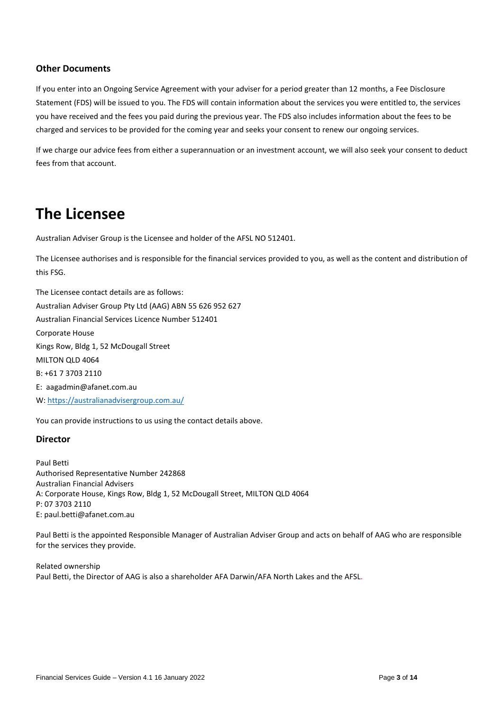## **Other Documents**

If you enter into an Ongoing Service Agreement with your adviser for a period greater than 12 months, a Fee Disclosure Statement (FDS) will be issued to you. The FDS will contain information about the services you were entitled to, the services you have received and the fees you paid during the previous year. The FDS also includes information about the fees to be charged and services to be provided for the coming year and seeks your consent to renew our ongoing services.

If we charge our advice fees from either a superannuation or an investment account, we will also seek your consent to deduct fees from that account.

# **The Licensee**

Australian Adviser Group is the Licensee and holder of the AFSL NO 512401.

The Licensee authorises and is responsible for the financial services provided to you, as well as the content and distribution of this FSG.

The Licensee contact details are as follows: Australian Adviser Group Pty Ltd (AAG) ABN 55 626 952 627 Australian Financial Services Licence Number 512401 Corporate House Kings Row, Bldg 1, 52 McDougall Street MILTON QLD 4064 B: +61 7 3703 2110 E: aagadmin@afanet.com.au W[: https://australianadvisergroup.com.au/](https://australianadvisergroup.com.au/)

You can provide instructions to us using the contact details above.

### **Director**

Paul Betti Authorised Representative Number 242868 Australian Financial Advisers A: Corporate House, Kings Row, Bldg 1, 52 McDougall Street, MILTON QLD 4064 P: 07 3703 2110 E: paul.betti@afanet.com.au

Paul Betti is the appointed Responsible Manager of Australian Adviser Group and acts on behalf of AAG who are responsible for the services they provide.

Related ownership Paul Betti, the Director of AAG is also a shareholder AFA Darwin/AFA North Lakes and the AFSL.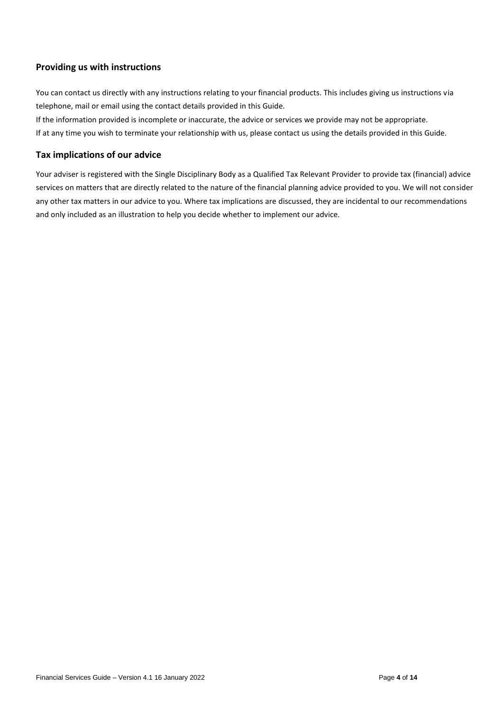# **Providing us with instructions**

You can contact us directly with any instructions relating to your financial products. This includes giving us instructions via telephone, mail or email using the contact details provided in this Guide.

If the information provided is incomplete or inaccurate, the advice or services we provide may not be appropriate. If at any time you wish to terminate your relationship with us, please contact us using the details provided in this Guide.

# **Tax implications of our advice**

Your adviser is registered with the Single Disciplinary Body as a Qualified Tax Relevant Provider to provide tax (financial) advice services on matters that are directly related to the nature of the financial planning advice provided to you. We will not consider any other tax matters in our advice to you. Where tax implications are discussed, they are incidental to our recommendations and only included as an illustration to help you decide whether to implement our advice.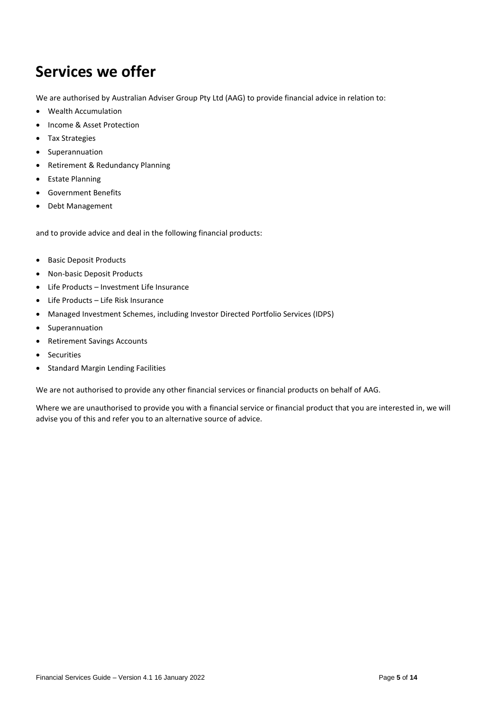# **Services we offer**

We are authorised by Australian Adviser Group Pty Ltd (AAG) to provide financial advice in relation to:

- Wealth Accumulation
- Income & Asset Protection
- Tax Strategies
- Superannuation
- Retirement & Redundancy Planning
- Estate Planning
- Government Benefits
- Debt Management

and to provide advice and deal in the following financial products:

- Basic Deposit Products
- Non-basic Deposit Products
- Life Products Investment Life Insurance
- Life Products Life Risk Insurance
- Managed Investment Schemes, including Investor Directed Portfolio Services (IDPS)
- Superannuation
- Retirement Savings Accounts
- Securities
- Standard Margin Lending Facilities

We are not authorised to provide any other financial services or financial products on behalf of AAG.

Where we are unauthorised to provide you with a financial service or financial product that you are interested in, we will advise you of this and refer you to an alternative source of advice.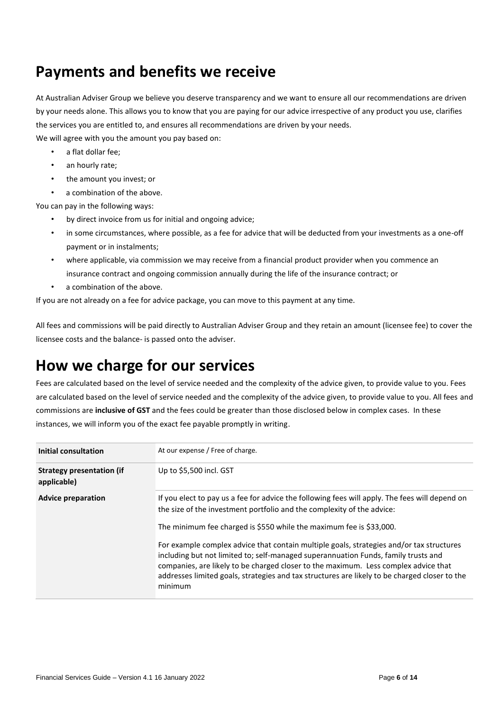# **Payments and benefits we receive**

At Australian Adviser Group we believe you deserve transparency and we want to ensure all our recommendations are driven by your needs alone. This allows you to know that you are paying for our advice irrespective of any product you use, clarifies the services you are entitled to, and ensures all recommendations are driven by your needs. We will agree with you the amount you pay based on:

- a flat dollar fee:
- an hourly rate;
- the amount you invest; or
- a combination of the above.

You can pay in the following ways:

- by direct invoice from us for initial and ongoing advice;
- in some circumstances, where possible, as a fee for advice that will be deducted from your investments as a one-off payment or in instalments;
- where applicable, via commission we may receive from a financial product provider when you commence an insurance contract and ongoing commission annually during the life of the insurance contract; or
- a combination of the above.

If you are not already on a fee for advice package, you can move to this payment at any time.

All fees and commissions will be paid directly to Australian Adviser Group and they retain an amount (licensee fee) to cover the licensee costs and the balance- is passed onto the adviser.

# **How we charge for our services**

Fees are calculated based on the level of service needed and the complexity of the advice given, to provide value to you. Fees are calculated based on the level of service needed and the complexity of the advice given, to provide value to you. All fees and commissions are **inclusive of GST** and the fees could be greater than those disclosed below in complex cases. In these instances, we will inform you of the exact fee payable promptly in writing.

| Initial consultation                            | At our expense / Free of charge.                                                                                                                                                                                                                                                                                                                                                                                                                                                                                                                                                                                                     |
|-------------------------------------------------|--------------------------------------------------------------------------------------------------------------------------------------------------------------------------------------------------------------------------------------------------------------------------------------------------------------------------------------------------------------------------------------------------------------------------------------------------------------------------------------------------------------------------------------------------------------------------------------------------------------------------------------|
| <b>Strategy presentation (if</b><br>applicable) | Up to \$5,500 incl. GST                                                                                                                                                                                                                                                                                                                                                                                                                                                                                                                                                                                                              |
| <b>Advice preparation</b>                       | If you elect to pay us a fee for advice the following fees will apply. The fees will depend on<br>the size of the investment portfolio and the complexity of the advice:<br>The minimum fee charged is \$550 while the maximum fee is \$33,000.<br>For example complex advice that contain multiple goals, strategies and/or tax structures<br>including but not limited to; self-managed superannuation Funds, family trusts and<br>companies, are likely to be charged closer to the maximum. Less complex advice that<br>addresses limited goals, strategies and tax structures are likely to be charged closer to the<br>minimum |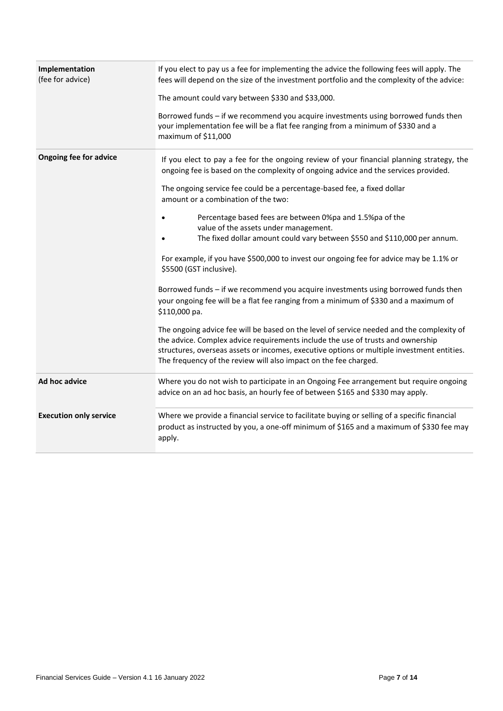| Implementation<br>(fee for advice) | If you elect to pay us a fee for implementing the advice the following fees will apply. The<br>fees will depend on the size of the investment portfolio and the complexity of the advice:<br>The amount could vary between \$330 and \$33,000.<br>Borrowed funds - if we recommend you acquire investments using borrowed funds then<br>your implementation fee will be a flat fee ranging from a minimum of \$330 and a<br>maximum of \$11,000                                                                                                                                                                                                                                                                                                                                                                                                                                                                                                                                                                                                                                                                                                            |
|------------------------------------|------------------------------------------------------------------------------------------------------------------------------------------------------------------------------------------------------------------------------------------------------------------------------------------------------------------------------------------------------------------------------------------------------------------------------------------------------------------------------------------------------------------------------------------------------------------------------------------------------------------------------------------------------------------------------------------------------------------------------------------------------------------------------------------------------------------------------------------------------------------------------------------------------------------------------------------------------------------------------------------------------------------------------------------------------------------------------------------------------------------------------------------------------------|
| <b>Ongoing fee for advice</b>      | If you elect to pay a fee for the ongoing review of your financial planning strategy, the<br>ongoing fee is based on the complexity of ongoing advice and the services provided.<br>The ongoing service fee could be a percentage-based fee, a fixed dollar<br>amount or a combination of the two:<br>Percentage based fees are between 0%pa and 1.5%pa of the<br>value of the assets under management.<br>The fixed dollar amount could vary between \$550 and \$110,000 per annum.<br>For example, if you have \$500,000 to invest our ongoing fee for advice may be 1.1% or<br>\$5500 (GST inclusive).<br>Borrowed funds - if we recommend you acquire investments using borrowed funds then<br>your ongoing fee will be a flat fee ranging from a minimum of \$330 and a maximum of<br>\$110,000 pa.<br>The ongoing advice fee will be based on the level of service needed and the complexity of<br>the advice. Complex advice requirements include the use of trusts and ownership<br>structures, overseas assets or incomes, executive options or multiple investment entities.<br>The frequency of the review will also impact on the fee charged. |
| Ad hoc advice                      | Where you do not wish to participate in an Ongoing Fee arrangement but require ongoing<br>advice on an ad hoc basis, an hourly fee of between \$165 and \$330 may apply.                                                                                                                                                                                                                                                                                                                                                                                                                                                                                                                                                                                                                                                                                                                                                                                                                                                                                                                                                                                   |
| <b>Execution only service</b>      | Where we provide a financial service to facilitate buying or selling of a specific financial<br>product as instructed by you, a one-off minimum of \$165 and a maximum of \$330 fee may<br>apply.                                                                                                                                                                                                                                                                                                                                                                                                                                                                                                                                                                                                                                                                                                                                                                                                                                                                                                                                                          |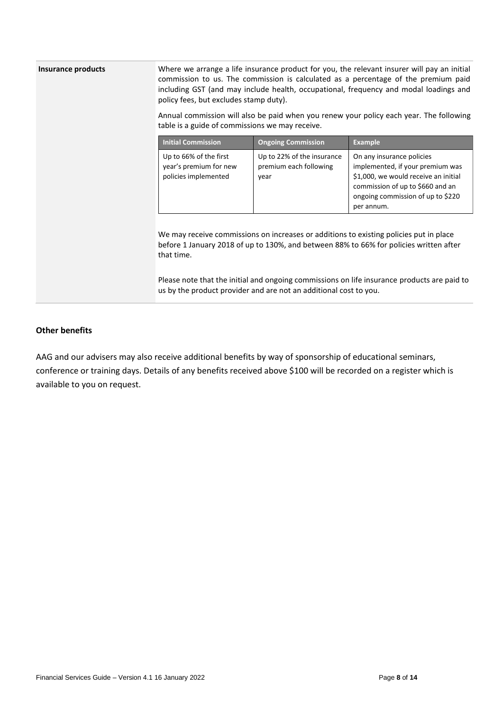### **Insurance products** Where we arrange a life insurance product for you, the relevant insurer will pay an initial commission to us. The commission is calculated as a percentage of the premium paid including GST (and may include health, occupational, frequency and modal loadings and policy fees, but excludes stamp duty).

Annual commission will also be paid when you renew your policy each year. The following table is a guide of commissions we may receive.

| <b>Initial Commission</b>                                                | <b>Ongoing Commission</b>                                    | <b>Example</b>                                                                                                                                                                               |
|--------------------------------------------------------------------------|--------------------------------------------------------------|----------------------------------------------------------------------------------------------------------------------------------------------------------------------------------------------|
| Up to 66% of the first<br>year's premium for new<br>policies implemented | Up to 22% of the insurance<br>premium each following<br>year | On any insurance policies<br>implemented, if your premium was<br>\$1,000, we would receive an initial<br>commission of up to \$660 and an<br>ongoing commission of up to \$220<br>per annum. |

We may receive commissions on increases or additions to existing policies put in place before 1 January 2018 of up to 130%, and between 88% to 66% for policies written after that time.

Please note that the initial and ongoing commissions on life insurance products are paid to us by the product provider and are not an additional cost to you.

### **Other benefits**

AAG and our advisers may also receive additional benefits by way of sponsorship of educational seminars, conference or training days. Details of any benefits received above \$100 will be recorded on a register which is available to you on request.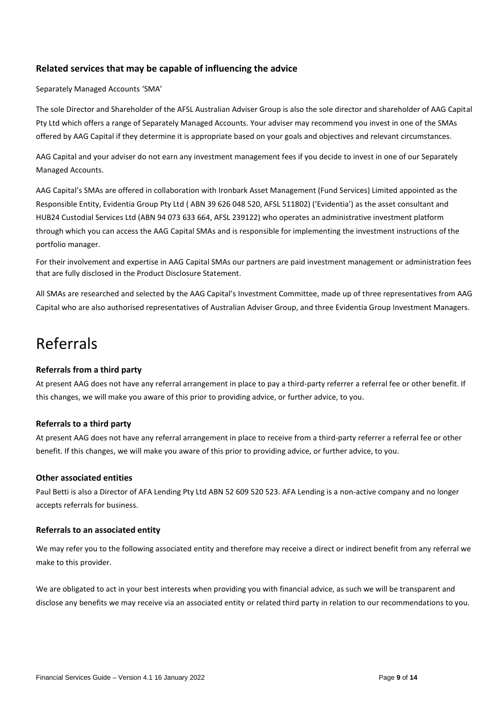# **Related services that may be capable of influencing the advice**

#### Separately Managed Accounts 'SMA'

The sole Director and Shareholder of the AFSL Australian Adviser Group is also the sole director and shareholder of AAG Capital Pty Ltd which offers a range of Separately Managed Accounts. Your adviser may recommend you invest in one of the SMAs offered by AAG Capital if they determine it is appropriate based on your goals and objectives and relevant circumstances.

AAG Capital and your adviser do not earn any investment management fees if you decide to invest in one of our Separately Managed Accounts.

AAG Capital's SMAs are offered in collaboration with Ironbark Asset Management (Fund Services) Limited appointed as the Responsible Entity, Evidentia Group Pty Ltd ( ABN 39 626 048 520, AFSL 511802) ('Evidentia') as the asset consultant and HUB24 Custodial Services Ltd (ABN 94 073 633 664, AFSL 239122) who operates an administrative investment platform through which you can access the AAG Capital SMAs and is responsible for implementing the investment instructions of the portfolio manager.

For their involvement and expertise in AAG Capital SMAs our partners are paid investment management or administration fees that are fully disclosed in the Product Disclosure Statement.

All SMAs are researched and selected by the AAG Capital's Investment Committee, made up of three representatives from AAG Capital who are also authorised representatives of Australian Adviser Group, and three Evidentia Group Investment Managers.

# Referrals

#### **Referrals from a third party**

At present AAG does not have any referral arrangement in place to pay a third-party referrer a referral fee or other benefit. If this changes, we will make you aware of this prior to providing advice, or further advice, to you.

#### **Referrals to a third party**

At present AAG does not have any referral arrangement in place to receive from a third-party referrer a referral fee or other benefit. If this changes, we will make you aware of this prior to providing advice, or further advice, to you.

#### **Other associated entities**

Paul Betti is also a Director of AFA Lending Pty Ltd ABN 52 609 520 523. AFA Lending is a non-active company and no longer accepts referrals for business.

#### **Referrals to an associated entity**

We may refer you to the following associated entity and therefore may receive a direct or indirect benefit from any referral we make to this provider.

We are obligated to act in your best interests when providing you with financial advice, as such we will be transparent and disclose any benefits we may receive via an associated entity or related third party in relation to our recommendations to you.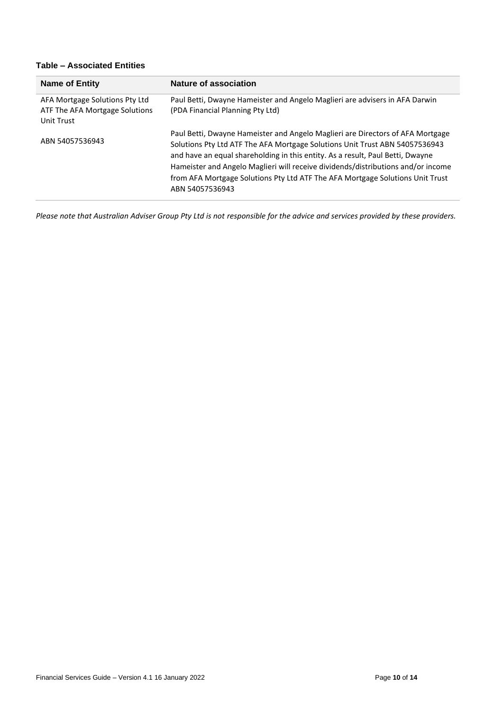# **Table – Associated Entities**

| <b>Name of Entity</b>                                                          | <b>Nature of association</b>                                                                                                                                                                                                                                                                                                                                                                                                            |
|--------------------------------------------------------------------------------|-----------------------------------------------------------------------------------------------------------------------------------------------------------------------------------------------------------------------------------------------------------------------------------------------------------------------------------------------------------------------------------------------------------------------------------------|
| AFA Mortgage Solutions Pty Ltd<br>ATF The AFA Mortgage Solutions<br>Unit Trust | Paul Betti, Dwayne Hameister and Angelo Maglieri are advisers in AFA Darwin<br>(PDA Financial Planning Pty Ltd)                                                                                                                                                                                                                                                                                                                         |
| ABN 54057536943                                                                | Paul Betti, Dwayne Hameister and Angelo Maglieri are Directors of AFA Mortgage<br>Solutions Pty Ltd ATF The AFA Mortgage Solutions Unit Trust ABN 54057536943<br>and have an equal shareholding in this entity. As a result, Paul Betti, Dwayne<br>Hameister and Angelo Maglieri will receive dividends/distributions and/or income<br>from AFA Mortgage Solutions Pty Ltd ATF The AFA Mortgage Solutions Unit Trust<br>ABN 54057536943 |

*Please note that Australian Adviser Group Pty Ltd is not responsible for the advice and services provided by these providers.*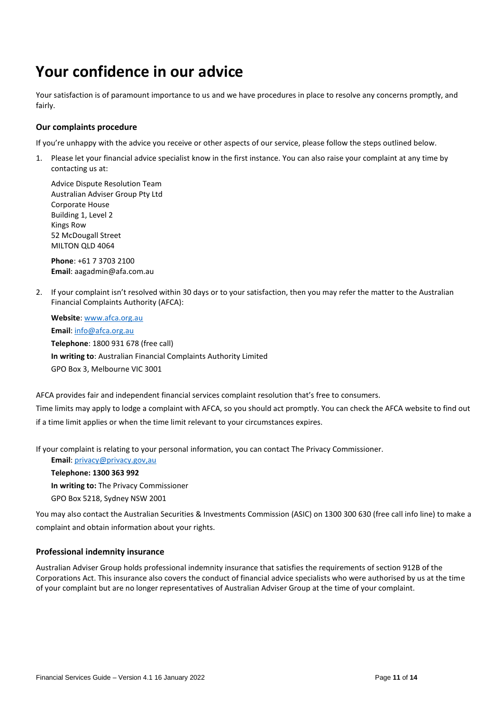# **Your confidence in our advice**

Your satisfaction is of paramount importance to us and we have procedures in place to resolve any concerns promptly, and fairly.

#### **Our complaints procedure**

If you're unhappy with the advice you receive or other aspects of our service, please follow the steps outlined below.

1. Please let your financial advice specialist know in the first instance. You can also raise your complaint at any time by contacting us at:

Advice Dispute Resolution Team Australian Adviser Group Pty Ltd Corporate House Building 1, Level 2 Kings Row 52 McDougall Street MILTON QLD 4064

**Phone**: +61 7 3703 2100 **Email**: aagadmin@afa.com.au

2. If your complaint isn't resolved within 30 days or to your satisfaction, then you may refer the matter to the Australian Financial Complaints Authority (AFCA):

**Website**: [www.afca.org.au](http://www.afca.org.au/)

**Email**[: info@afca.org.au](mailto:info@afca.org.au) **Telephone**: 1800 931 678 (free call) **In writing to**: Australian Financial Complaints Authority Limited GPO Box 3, Melbourne VIC 3001

AFCA provides fair and independent financial services complaint resolution that's free to consumers.

Time limits may apply to lodge a complaint with AFCA, so you should act promptly. You can check the AFCA website to find out if a time limit applies or when the time limit relevant to your circumstances expires.

If your complaint is relating to your personal information, you can contact The Privacy Commissioner.

**Email**[: privacy@privacy.gov,au](mailto:privacy@privacy.gov,au) **Telephone: 1300 363 992 In writing to:** The Privacy Commissioner GPO Box 5218, Sydney NSW 2001

You may also contact the Australian Securities & Investments Commission (ASIC) on 1300 300 630 (free call info line) to make a complaint and obtain information about your rights.

#### **Professional indemnity insurance**

Australian Adviser Group holds professional indemnity insurance that satisfies the requirements of section 912B of the Corporations Act. This insurance also covers the conduct of financial advice specialists who were authorised by us at the time of your complaint but are no longer representatives of Australian Adviser Group at the time of your complaint.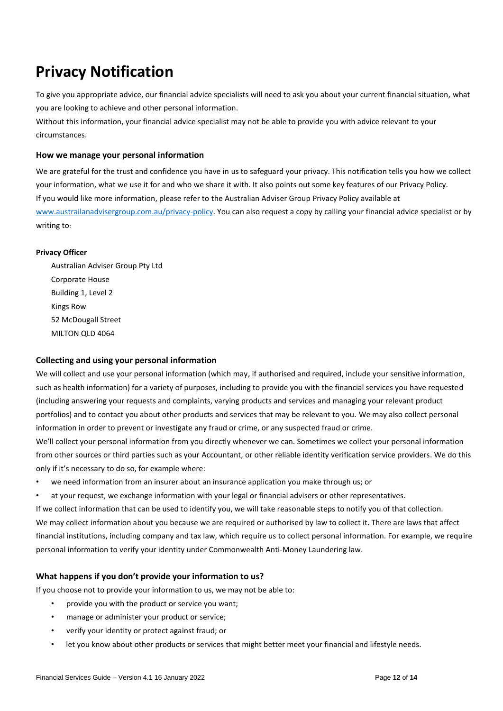# **Privacy Notification**

To give you appropriate advice, our financial advice specialists will need to ask you about your current financial situation, what you are looking to achieve and other personal information.

Without this information, your financial advice specialist may not be able to provide you with advice relevant to your circumstances.

#### **How we manage your personal information**

We are grateful for the trust and confidence you have in us to safeguard your privacy. This notification tells you how we collect your information, what we use it for and who we share it with. It also points out some key features of our Privacy Policy. If you would like more information, please refer to the Australian Adviser Group Privacy Policy available at [www.austrailanadvisergroup.com.au/privacy-](http://www.austrailanadvisergroup.com.au/privacy)policy. You can also request a copy by calling your financial advice specialist or by writing to:

#### **Privacy Officer**

Australian Adviser Group Pty Ltd Corporate House Building 1, Level 2 Kings Row 52 McDougall Street MILTON QLD 4064

### **Collecting and using your personal information**

We will collect and use your personal information (which may, if authorised and required, include your sensitive information, such as health information) for a variety of purposes, including to provide you with the financial services you have requested (including answering your requests and complaints, varying products and services and managing your relevant product portfolios) and to contact you about other products and services that may be relevant to you. We may also collect personal information in order to prevent or investigate any fraud or crime, or any suspected fraud or crime.

We'll collect your personal information from you directly whenever we can. Sometimes we collect your personal information from other sources or third parties such as your Accountant, or other reliable identity verification service providers. We do this only if it's necessary to do so, for example where:

• we need information from an insurer about an insurance application you make through us; or

at your request, we exchange information with your legal or financial advisers or other representatives. If we collect information that can be used to identify you, we will take reasonable steps to notify you of that collection. We may collect information about you because we are required or authorised by law to collect it. There are laws that affect financial institutions, including company and tax law, which require us to collect personal information. For example, we require personal information to verify your identity under Commonwealth Anti-Money Laundering law.

### **What happens if you don't provide your information to us?**

If you choose not to provide your information to us, we may not be able to:

- provide you with the product or service you want;
- manage or administer your product or service;
- verify your identity or protect against fraud; or
- let you know about other products or services that might better meet your financial and lifestyle needs.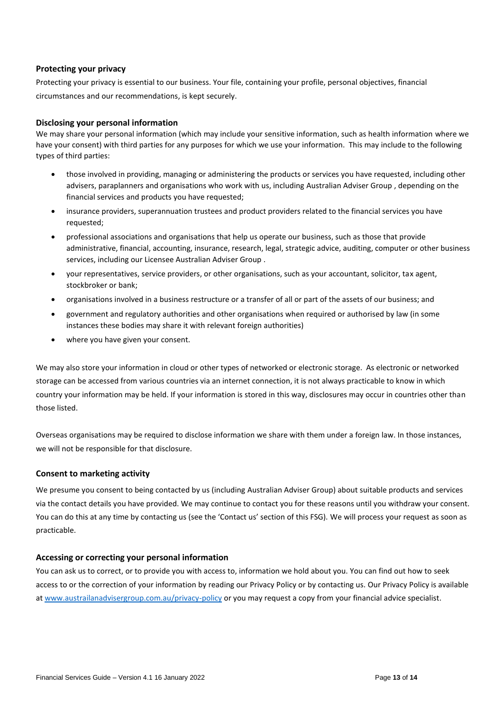#### **Protecting your privacy**

Protecting your privacy is essential to our business. Your file, containing your profile, personal objectives, financial circumstances and our recommendations, is kept securely.

#### **Disclosing your personal information**

We may share your personal information (which may include your sensitive information, such as health information where we have your consent) with third parties for any purposes for which we use your information. This may include to the following types of third parties:

- those involved in providing, managing or administering the products or services you have requested, including other advisers, paraplanners and organisations who work with us, including Australian Adviser Group , depending on the financial services and products you have requested;
- insurance providers, superannuation trustees and product providers related to the financial services you have requested;
- professional associations and organisations that help us operate our business, such as those that provide administrative, financial, accounting, insurance, research, legal, strategic advice, auditing, computer or other business services, including our Licensee Australian Adviser Group .
- your representatives, service providers, or other organisations, such as your accountant, solicitor, tax agent, stockbroker or bank;
- organisations involved in a business restructure or a transfer of all or part of the assets of our business; and
- government and regulatory authorities and other organisations when required or authorised by law (in some instances these bodies may share it with relevant foreign authorities)
- where you have given your consent.

We may also store your information in cloud or other types of networked or electronic storage. As electronic or networked storage can be accessed from various countries via an internet connection, it is not always practicable to know in which country your information may be held. If your information is stored in this way, disclosures may occur in countries other than those listed.

Overseas organisations may be required to disclose information we share with them under a foreign law. In those instances, we will not be responsible for that disclosure.

#### **Consent to marketing activity**

We presume you consent to being contacted by us (including Australian Adviser Group) about suitable products and services via the contact details you have provided. We may continue to contact you for these reasons until you withdraw your consent. You can do this at any time by contacting us (see the 'Contact us' section of this FSG). We will process your request as soon as practicable.

#### **Accessing or correcting your personal information**

You can ask us to correct, or to provide you with access to, information we hold about you. You can find out how to seek access to or the correction of your information by reading our Privacy Policy or by contacting us. Our Privacy Policy is available at [www.austrailanadvisergroup.com.au/privacy-](http://www.austrailanadvisergroup.com.au/privacy)policy or you may request a copy from your financial advice specialist.